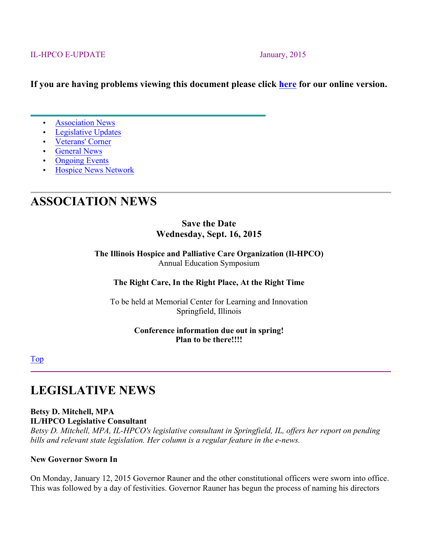#### IL-HPCO E-UPDATE January, 2015

#### **If you are having problems viewing this document please click here for our online version.**

- **Association News**
- Legislative Updates
- Veterans' Corner
- General News
- Ongoing Events
- Hospice News Network

# **ASSOCIATION NEWS**

#### **Save the Date Wednesday, Sept. 16, 2015**

**The Illinois Hospice and Palliative Care Organization (Il-HPCO)** Annual Education Symposium

#### **The Right Care, In the Right Place, At the Right Time**

To be held at Memorial Center for Learning and Innovation Springfield, Illinois

#### **Conference information due out in spring! Plan to be there!!!!**

Top

# **LEGISLATIVE NEWS**

### **Betsy D. Mitchell, MPA**

**IL/HPCO Legislative Consultant**

*Betsy D. Mitchell, MPA, IL-HPCO's legislative consultant in Springfield, IL, offers her report on pending bills and relevant state legislation. Her column is a regular feature in the e-news.*

#### **New Governor Sworn In**

On Monday, January 12, 2015 Governor Rauner and the other constitutional officers were sworn into office. This was followed by a day of festivities. Governor Rauner has begun the process of naming his directors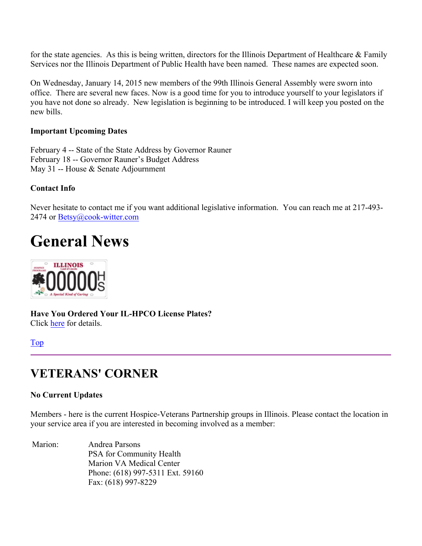for the state agencies. As this is being written, directors for the Illinois Department of Healthcare  $\&$  Family Services nor the Illinois Department of Public Health have been named. These names are expected soon.

On Wednesday, January 14, 2015 new members of the 99th Illinois General Assembly were sworn into office. There are several new faces. Now is a good time for you to introduce yourself to your legislators if you have not done so already. New legislation is beginning to be introduced. I will keep you posted on the new bills.

#### **Important Upcoming Dates**

February 4 -- State of the State Address by Governor Rauner February 18 -- Governor Rauner's Budget Address May 31 -- House & Senate Adjournment

#### **Contact Info**

Never hesitate to contact me if you want additional legislative information. You can reach me at 217-493- 2474 or Betsy@cook-witter.com

# **General News**



**Have You Ordered Your IL-HPCO License Plates?** Click here for details.

#### Top

# **VETERANS' CORNER**

#### **No Current Updates**

Members - here is the current Hospice-Veterans Partnership groups in Illinois. Please contact the location in your service area if you are interested in becoming involved as a member:

Marion: Andrea Parsons PSA for Community Health Marion VA Medical Center Phone: (618) 997-5311 Ext. 59160 Fax: (618) 997-8229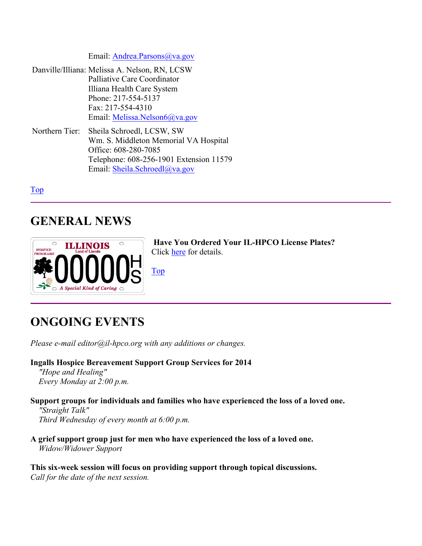Email: **Andrea.Parsons**@va.gov

- Danville/Illiana: Melissa A. Nelson, RN, LCSW Palliative Care Coordinator Illiana Health Care System Phone: 217-554-5137 Fax: 217-554-4310 Email: Melissa.Nelson6@va.gov
- Northern Tier: Sheila Schroedl, LCSW, SW Wm. S. Middleton Memorial VA Hospital Office: 608-280-7085 Telephone: 608-256-1901 Extension 11579 Email: Sheila.Schroedl@va.gov

Top

# **GENERAL NEWS**



**Have You Ordered Your IL-HPCO License Plates?** Click here for details.

Top

# **ONGOING EVENTS**

*Please e-mail editor@il-hpco.org with any additions or changes.*

**Ingalls Hospice Bereavement Support Group Services for 2014** *"Hope and Healing" Every Monday at 2:00 p.m.*

**Support groups for individuals and families who have experienced the loss of a loved one.** *"Straight Talk" Third Wednesday of every month at 6:00 p.m.*

**A grief support group just for men who have experienced the loss of a loved one.** *Widow/Widower Support*

**This six-week session will focus on providing support through topical discussions.** *Call for the date of the next session.*